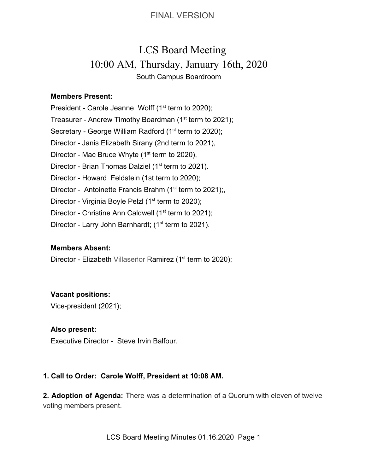# LCS Board Meeting 10:00 AM, Thursday, January 16th, 2020 South Campus Boardroom

#### **Members Present:**

President - Carole Jeanne Wolff  $(1<sup>st</sup>$  term to 2020); Treasurer - Andrew Timothy Boardman (1<sup>st</sup> term to 2021); Secretary - George William Radford (1<sup>st</sup> term to 2020); Director - Janis Elizabeth Sirany (2nd term to 2021), Director - Mac Bruce Whyte  $(1<sup>st</sup>$  term to 2020), Director - Brian Thomas Dalziel (1<sup>st</sup> term to 2021). Director - Howard Feldstein (1st term to 2020); Director - Antoinette Francis Brahm ( $1<sup>st</sup>$  term to 2021); Director - Virginia Boyle Pelzl (1<sup>st</sup> term to 2020); Director - Christine Ann Caldwell ( $1<sup>st</sup>$  term to 2021); Director - Larry John Barnhardt; (1<sup>st</sup> term to 2021).

#### **Members Absent:**

Director - Elizabeth Villaseñor Ramirez (1<sup>st</sup> term to 2020);

#### **Vacant positions:**

Vice-president (2021);

#### **Also present:**

Executive Director - Steve Irvin Balfour.

#### **1. Call to Order: Carole Wolff, President at 10:08 AM.**

**2. Adoption of Agenda:** There was a determination of a Quorum with eleven of twelve voting members present.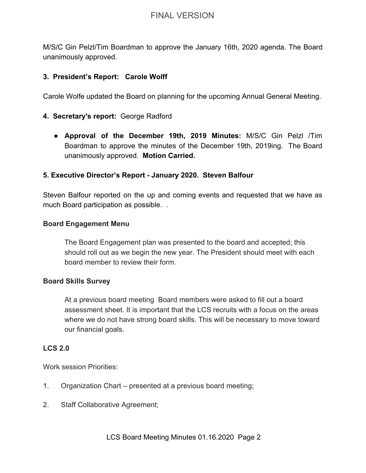M/S/C Gin Pelzl/Tim Boardman to approve the January 16th, 2020 agenda. The Board unanimously approved.

#### **3. President's Report: Carole Wolff**

Carole Wolfe updated the Board on planning for the upcoming Annual General Meeting.

#### **4. Secretary's report:** George Radford

● **Approval of the December 19th, 2019 Minutes:** M/S/C Gin Pelzl /Tim Boardman to approve the minutes of the December 19th, 2019ing. The Board unanimously approved. **Motion Carried.**

#### **5. Executive Director's Report - January 2020. Steven Balfour**

Steven Balfour reported on the up and coming events and requested that we have as much Board participation as possible. .

#### **Board Engagement Menu**

The Board Engagement plan was presented to the board and accepted; this should roll out as we begin the new year. The President should meet with each board member to review their form.

#### **Board Skills Survey**

At a previous board meeting Board members were asked to fill out a board assessment sheet. It is important that the LCS recruits with a focus on the areas where we do not have strong board skills. This will be necessary to move toward our financial goals.

#### **LCS 2.0**

Work session Priorities:

- 1. Organization Chart presented at a previous board meeting;
- 2. Staff Collaborative Agreement;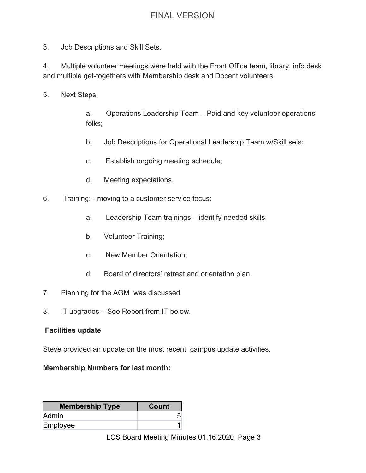3. Job Descriptions and Skill Sets.

4. Multiple volunteer meetings were held with the Front Office team, library, info desk and multiple get-togethers with Membership desk and Docent volunteers.

5. Next Steps:

a. Operations Leadership Team – Paid and key volunteer operations folks;

- b. Job Descriptions for Operational Leadership Team w/Skill sets;
- c. Establish ongoing meeting schedule;
- d. Meeting expectations.
- 6. Training: moving to a customer service focus:
	- a. Leadership Team trainings identify needed skills;
	- b. Volunteer Training;
	- c. New Member Orientation;
	- d. Board of directors' retreat and orientation plan.
- 7. Planning for the AGM was discussed.
- 8. IT upgrades See Report from IT below.

#### **Facilities update**

Steve provided an update on the most recent campus update activities.

#### **Membership Numbers for last month:**

| <b>Membership Type</b> | <b>Count</b> |
|------------------------|--------------|
| <b>Admin</b>           |              |
| Employee               |              |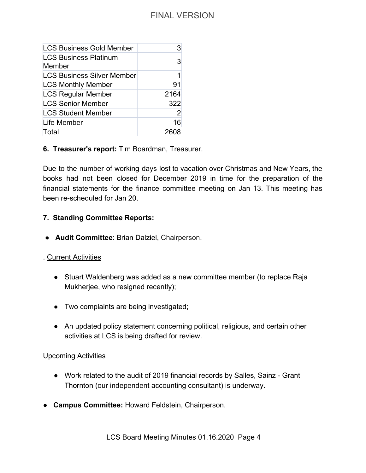| <b>LCS Business Gold Member</b>        |                |
|----------------------------------------|----------------|
| <b>LCS Business Platinum</b><br>Member | 3              |
| <b>LCS Business Silver Member</b>      | 1              |
| <b>LCS Monthly Member</b>              | 91             |
| <b>LCS Regular Member</b>              | 2164           |
| <b>LCS Senior Member</b>               | 322            |
| <b>LCS Student Member</b>              | $\overline{2}$ |
| Life Member                            | 16             |
| Total                                  |                |

#### **6. Treasurer's report:** Tim Boardman, Treasurer.

Due to the number of working days lost to vacation over Christmas and New Years, the books had not been closed for December 2019 in time for the preparation of the financial statements for the finance committee meeting on Jan 13. This meeting has been re-scheduled for Jan 20.

#### **7. Standing Committee Reports:**

● **Audit Committee**: Brian Dalziel, Chairperson.

#### . Current Activities

- Stuart Waldenberg was added as a new committee member (to replace Raja Mukherjee, who resigned recently);
- Two complaints are being investigated;
- An updated policy statement concerning political, religious, and certain other activities at LCS is being drafted for review.

#### Upcoming Activities

- Work related to the audit of 2019 financial records by Salles, Sainz Grant Thornton (our independent accounting consultant) is underway.
- ● **Campus Committee:** Howard Feldstein, Chairperson.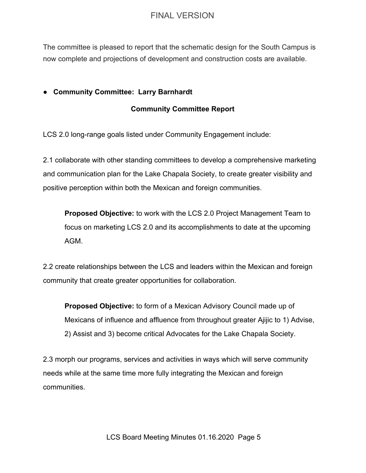The committee is pleased to report that the schematic design for the South Campus is now complete and projections of development and construction costs are available.

#### **● Community Committee: Larry Barnhardt**

#### **Community Committee Report**

LCS 2.0 long-range goals listed under Community Engagement include:

2.1 collaborate with other standing committees to develop a comprehensive marketing and communication plan for the Lake Chapala Society, to create greater visibility and positive perception within both the Mexican and foreign communities.

**Proposed Objective:** to work with the LCS 2.0 Project Management Team to focus on marketing LCS 2.0 and its accomplishments to date at the upcoming AGM.

2.2 create relationships between the LCS and leaders within the Mexican and foreign community that create greater opportunities for collaboration.

**Proposed Objective:** to form of a Mexican Advisory Council made up of Mexicans of influence and affluence from throughout greater Ajijic to 1) Advise, 2) Assist and 3) become critical Advocates for the Lake Chapala Society.

2.3 morph our programs, services and activities in ways which will serve community needs while at the same time more fully integrating the Mexican and foreign communities.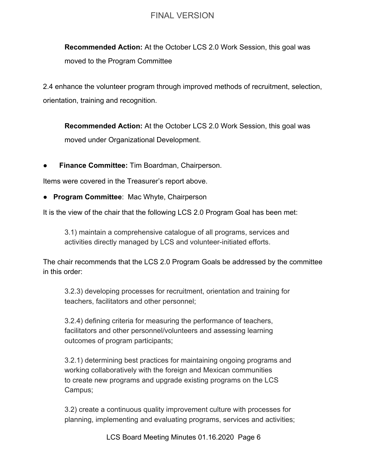**Recommended Action:** At the October LCS 2.0 Work Session, this goal was moved to the Program Committee

2.4 enhance the volunteer program through improved methods of recruitment, selection, orientation, training and recognition.

**Recommended Action:** At the October LCS 2.0 Work Session, this goal was moved under Organizational Development.

**● Finance Committee:** Tim Boardman, Chairperson.

Items were covered in the Treasurer's report above.

● **Program Committee**: Mac Whyte, Chairperson

It is the view of the chair that the following LCS 2.0 Program Goal has been met:

3.1) maintain a comprehensive catalogue of all programs, services and activities directly managed by LCS and volunteer-initiated efforts.

The chair recommends that the LCS 2.0 Program Goals be addressed by the committee in this order:

3.2.3) developing processes for recruitment, orientation and training for teachers, facilitators and other personnel;

3.2.4) defining criteria for measuring the performance of teachers, facilitators and other personnel/volunteers and assessing learning outcomes of program participants;

3.2.1) determining best practices for maintaining ongoing programs and working collaboratively with the foreign and Mexican communities to create new programs and upgrade existing programs on the LCS Campus;

3.2) create a continuous quality improvement culture with processes for planning, implementing and evaluating programs, services and activities;

LCS Board Meeting Minutes 01.16.2020 Page 6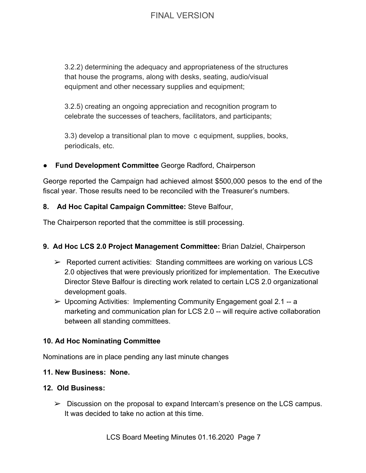3.2.2) determining the adequacy and appropriateness of the structures that house the programs, along with desks, seating, audio/visual equipment and other necessary supplies and equipment;

3.2.5) creating an ongoing appreciation and recognition program to celebrate the successes of teachers, facilitators, and participants;

3.3) develop a transitional plan to move c equipment, supplies, books, periodicals, etc.

### **Fund Development Committee** George Radford, Chairperson

George reported the Campaign had achieved almost \$500,000 pesos to the end of the fiscal year. Those results need to be reconciled with the Treasurer's numbers.

### **8. Ad Hoc Capital Campaign Committee:** Steve Balfour,

The Chairperson reported that the committee is still processing.

### **9. Ad Hoc LCS 2.0 Project Management Committee:** Brian Dalziel, Chairperson

- $\triangleright$  Reported current activities: Standing committees are working on various LCS 2.0 objectives that were previously prioritized for implementation. The Executive Director Steve Balfour is directing work related to certain LCS 2.0 organizational development goals.
- $\triangleright$  Upcoming Activities: Implementing Community Engagement goal 2.1 -- a marketing and communication plan for LCS 2.0 -- will require active collaboration between all standing committees.

### **10. Ad Hoc Nominating Committee**

Nominations are in place pending any last minute changes

### **11. New Business: None.**

### **12. Old Business:**

 $\triangleright$  Discussion on the proposal to expand Intercam's presence on the LCS campus. It was decided to take no action at this time.